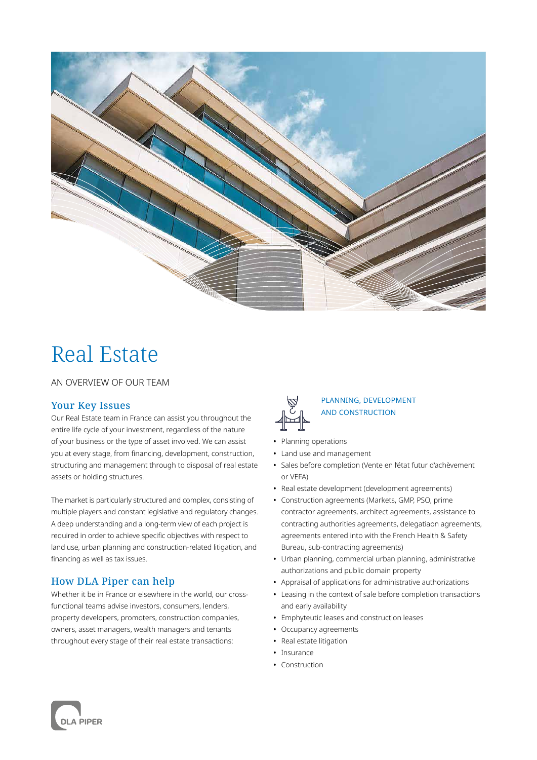

# Real Estate

AN OVERVIEW OF OUR TEAM

# Your Key Issues

Our Real Estate team in France can assist you throughout the entire life cycle of your investment, regardless of the nature of your business or the type of asset involved. We can assist you at every stage, from financing, development, construction, structuring and management through to disposal of real estate assets or holding structures.

The market is particularly structured and complex, consisting of multiple players and constant legislative and regulatory changes. A deep understanding and a long-term view of each project is required in order to achieve specific objectives with respect to land use, urban planning and construction-related litigation, and financing as well as tax issues.

# How DLA Piper can help

Whether it be in France or elsewhere in the world, our crossfunctional teams advise investors, consumers, lenders, property developers, promoters, construction companies, owners, asset managers, wealth managers and tenants throughout every stage of their real estate transactions:



## PLANNING, DEVELOPMENT AND CONSTRUCTION

- **•** Planning operations
- **•** Land use and management
- **•** Sales before completion (Vente en l'état futur d'achèvement or VEFA)
- **•** Real estate development (development agreements)
- **•** Construction agreements (Markets, GMP, PSO, prime contractor agreements, architect agreements, assistance to contracting authorities agreements, delegatiaon agreements, agreements entered into with the French Health & Safety Bureau, sub-contracting agreements)
- **•** Urban planning, commercial urban planning, administrative authorizations and public domain property
- **•** Appraisal of applications for administrative authorizations
- **•** Leasing in the context of sale before completion transactions and early availability
- **•** Emphyteutic leases and construction leases
- **•** Occupancy agreements
- **•** Real estate litigation
- **•** Insurance
- **•** Construction

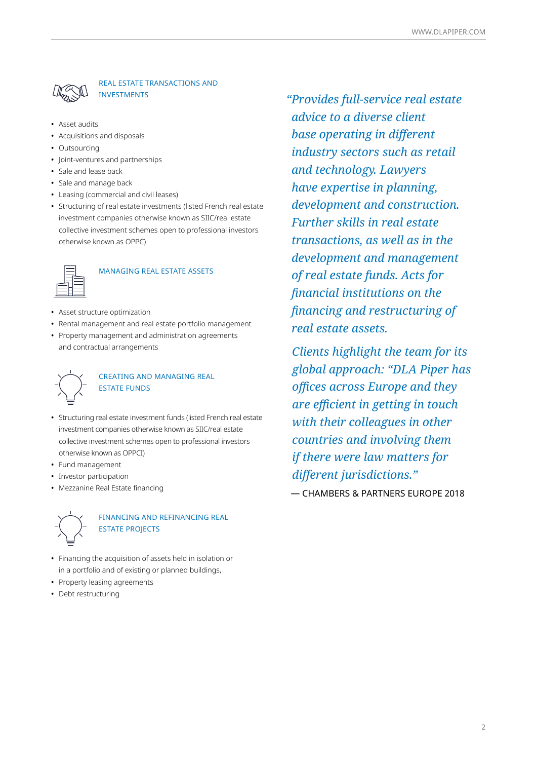

### REAL ESTATE TRANSACTIONS AND INVESTMENTS

- **•** Asset audits
- **•** Acquisitions and disposals
- **•** Outsourcing
- **•** Joint-ventures and partnerships
- **•** Sale and lease back
- **•** Sale and manage back
- **•** Leasing (commercial and civil leases)
- **•** Structuring of real estate investments (listed French real estate investment companies otherwise known as SIIC/real estate collective investment schemes open to professional investors otherwise known as OPPC)



#### MANAGING REAL ESTATE ASSETS

- **•** Asset structure optimization
- **•** Rental management and real estate portfolio management
- **•** Property management and administration agreements and contractual arrangements



#### CREATING AND MANAGING REAL ESTATE FUNDS

- **•** Structuring real estate investment funds (listed French real estate investment companies otherwise known as SIIC/real estate collective investment schemes open to professional investors otherwise known as OPPCI)
- **•** Fund management
- **•** Investor participation
- **•** Mezzanine Real Estate financing



## FINANCING AND REFINANCING REAL ESTATE PROJECTS

- **•** Financing the acquisition of assets held in isolation or in a portfolio and of existing or planned buildings,
- **•** Property leasing agreements
- **•** Debt restructuring

*"Provides full-service real estate advice to a diverse client base operating in different industry sectors such as retail and technology. Lawyers have expertise in planning, development and construction. Further skills in real estate transactions, as well as in the development and management of real estate funds. Acts for financial institutions on the financing and restructuring of real estate assets.*

 *Clients highlight the team for its global approach: "DLA Piper has offices across Europe and they are efficient in getting in touch with their colleagues in other countries and involving them if there were law matters for different jurisdictions."*

— CHAMBERS & PARTNERS EUROPE 2018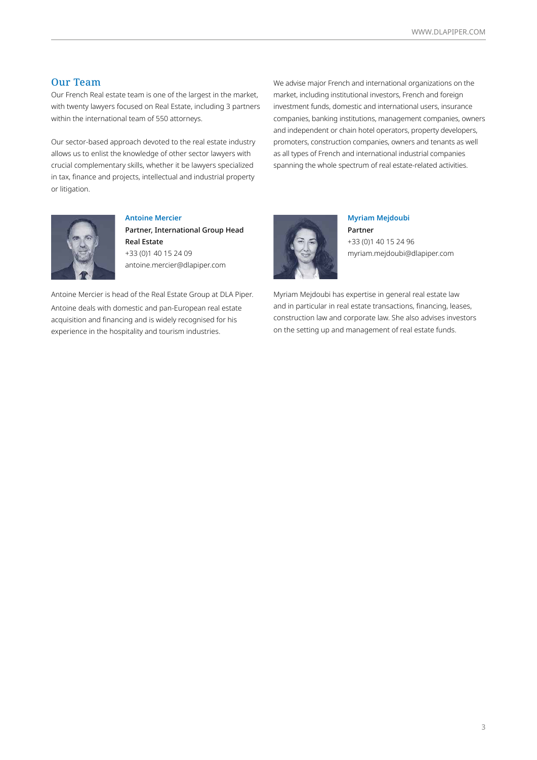#### Our Team

Our French Real estate team is one of the largest in the market, with twenty lawyers focused on Real Estate, including 3 partners within the international team of 550 attorneys.

Our sector-based approach devoted to the real estate industry allows us to enlist the knowledge of other sector lawyers with crucial complementary skills, whether it be lawyers specialized in tax, finance and projects, intellectual and industrial property or litigation.

We advise major French and international organizations on the market, including institutional investors, French and foreign investment funds, domestic and international users, insurance companies, banking institutions, management companies, owners and independent or chain hotel operators, property developers, promoters, construction companies, owners and tenants as well as all types of French and international industrial companies spanning the whole spectrum of real estate-related activities.



**Antoine Mercier** Partner, International Group Head Real Estate

+33 (0)1 40 15 24 09 antoine.mercier@dlapiper.com

Antoine Mercier is head of the Real Estate Group at DLA Piper. Antoine deals with domestic and pan-European real estate acquisition and financing and is widely recognised for his experience in the hospitality and tourism industries.



**Myriam Mejdoubi** Partner

+33 (0)1 40 15 24 96 myriam.mejdoubi@dlapiper.com

Myriam Mejdoubi has expertise in general real estate law and in particular in real estate transactions, financing, leases, construction law and corporate law. She also advises investors on the setting up and management of real estate funds.